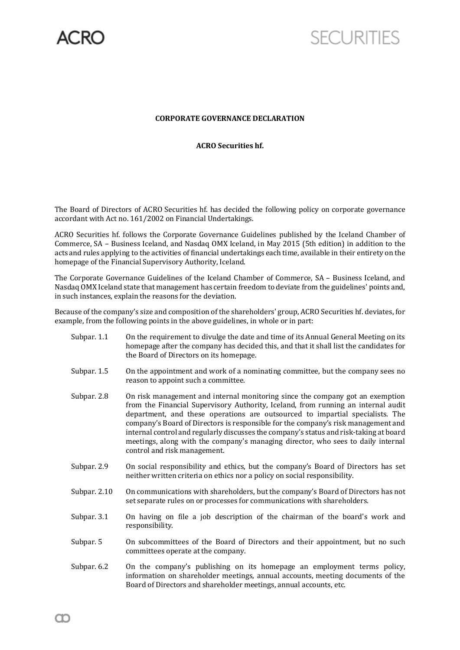

## **SECURITIES**

## **CORPORATE GOVERNANCE DECLARATION**

## **ACRO Securities hf.**

The Board of Directors of ACRO Securities hf. has decided the following policy on corporate governance accordant with Act no. 161/2002 on Financial Undertakings.

ACRO Securities hf. follows the Corporate Governance Guidelines published by the Iceland Chamber of Commerce, SA – Business Iceland, and Nasdaq OMX Iceland, in May 2015 (5th edition) in addition to the acts and rules applying to the activities of financial undertakings each time, available in their entirety on the homepage of the Financial Supervisory Authority, Iceland.

The Corporate Governance Guidelines of the Iceland Chamber of Commerce, SA – Business Iceland, and Nasdaq OMX Iceland state that management has certain freedom to deviate from the guidelines' points and, in such instances, explain the reasons for the deviation.

Because of the company's size and composition of the shareholders' group, ACRO Securities hf. deviates, for example, from the following points in the above guidelines, in whole or in part:

- Subpar. 1.1 On the requirement to divulge the date and time of its Annual General Meeting on its homepage after the company has decided this, and that it shall list the candidates for the Board of Directors on its homepage.
- Subpar. 1.5 On the appointment and work of a nominating committee, but the company sees no reason to appoint such a committee.
- Subpar. 2.8 On risk management and internal monitoring since the company got an exemption from the Financial Supervisory Authority, Iceland, from running an internal audit department, and these operations are outsourced to impartial specialists. The company's Board of Directors is responsible for the company's risk management and internal control and regularly discusses the company's status and risk-taking at board meetings, along with the company's managing director, who sees to daily internal control and risk management.
- Subpar. 2.9 On social responsibility and ethics, but the company's Board of Directors has set neither written criteria on ethics nor a policy on social responsibility.
- Subpar. 2.10 On communications with shareholders, but the company's Board of Directors has not set separate rules on or processes for communications with shareholders.
- Subpar. 3.1 On having on file a job description of the chairman of the board's work and responsibility.
- Subpar. 5 On subcommittees of the Board of Directors and their appointment, but no such committees operate at the company.
- Subpar. 6.2 On the company's publishing on its homepage an employment terms policy, information on shareholder meetings, annual accounts, meeting documents of the Board of Directors and shareholder meetings, annual accounts, etc.